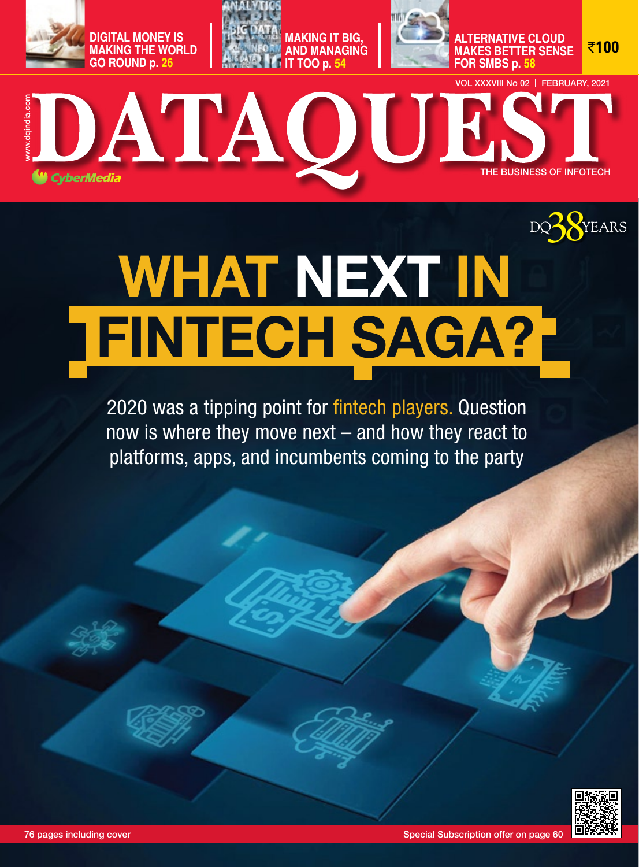



**for sMbs p. 58**

**alternative cloud Makes better sense** 

`**100**



# **MATHOURS**<br> **THATHE CH SAGA?**<br>
PEINTECH SAGA?<br>
PROVIDE TO BAGA?<br>
PROVIDE TO BAGA?<br>
PROVIDE TO BAGA?<br>
PROVIDE TO BAGA?<br>
PROVIDE TO BAGA?<br>
PROVIDE TO BAGA?<br>
PROVIDE TO BAGA?<br>
PROVIDE TO BAGA?<br>
PROVIDE TO BAGA?<br>
PROVIDED TO 38 WHAT NEXT IN FINTECH SAGA?

2020 was a tipping point for fintech players. Question now is where they move next – and how they react to platforms, apps, and incumbents coming to the party

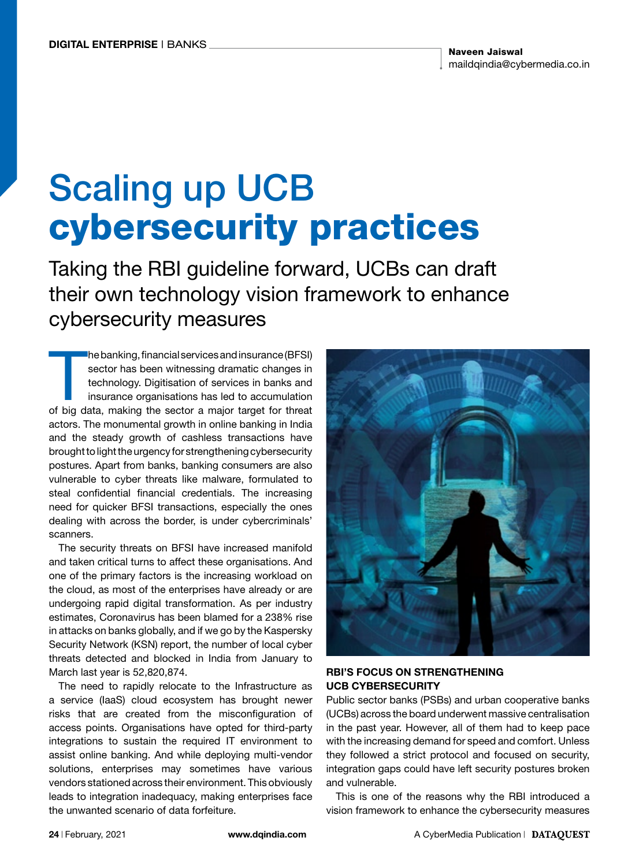# Scaling up UCB cybersecurity practices

Taking the RBI guideline forward, UCBs can draft their own technology vision framework to enhance cybersecurity measures

The banking, financial services and insurance (BFSI)<br>sector has been witnessing dramatic changes in<br>technology. Digitisation of services in banks and<br>insurance organisations has led to accumulation<br>of big data, making the he banking, financial services and insurance (BFSI) sector has been witnessing dramatic changes in technology. Digitisation of services in banks and insurance organisations has led to accumulation actors. The monumental growth in online banking in India and the steady growth of cashless transactions have brought to light the urgency for strengthening cybersecurity postures. Apart from banks, banking consumers are also vulnerable to cyber threats like malware, formulated to steal confidential financial credentials. The increasing need for quicker BFSI transactions, especially the ones dealing with across the border, is under cybercriminals' scanners.

The security threats on BFSI have increased manifold and taken critical turns to affect these organisations. And one of the primary factors is the increasing workload on the cloud, as most of the enterprises have already or are undergoing rapid digital transformation. As per industry estimates, Coronavirus has been blamed for a 238% rise in attacks on banks globally, and if we go by the Kaspersky Security Network (KSN) report, the number of local cyber threats detected and blocked in India from January to March last year is 52,820,874.

The need to rapidly relocate to the Infrastructure as a service (IaaS) cloud ecosystem has brought newer risks that are created from the misconfiguration of access points. Organisations have opted for third-party integrations to sustain the required IT environment to assist online banking. And while deploying multi-vendor solutions, enterprises may sometimes have various vendors stationed across their environment. This obviously leads to integration inadequacy, making enterprises face the unwanted scenario of data forfeiture.



# RBI'S FOCUS ON STRENGTHENING UCB CYBERSECURITY

Public sector banks (PSBs) and urban cooperative banks (UCBs) across the board underwent massive centralisation in the past year. However, all of them had to keep pace with the increasing demand for speed and comfort. Unless they followed a strict protocol and focused on security, integration gaps could have left security postures broken and vulnerable.

This is one of the reasons why the RBI introduced a vision framework to enhance the cybersecurity measures